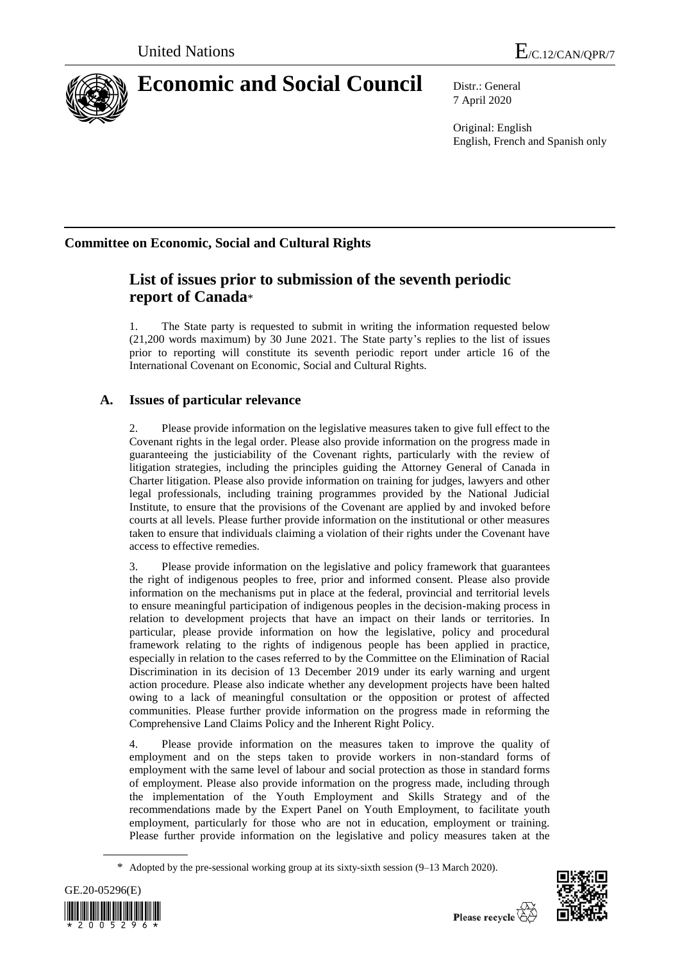

# **Economic and Social Council** Distr.: General

7 April 2020

Original: English English, French and Spanish only

## **Committee on Economic, Social and Cultural Rights**

## **List of issues prior to submission of the seventh periodic report of Canada**\*

1. The State party is requested to submit in writing the information requested below (21,200 words maximum) by 30 June 2021. The State party's replies to the list of issues prior to reporting will constitute its seventh periodic report under article 16 of the International Covenant on Economic, Social and Cultural Rights.

### **A. Issues of particular relevance**

Please provide information on the legislative measures taken to give full effect to the Covenant rights in the legal order. Please also provide information on the progress made in guaranteeing the justiciability of the Covenant rights, particularly with the review of litigation strategies, including the principles guiding the Attorney General of Canada in Charter litigation. Please also provide information on training for judges, lawyers and other legal professionals, including training programmes provided by the National Judicial Institute, to ensure that the provisions of the Covenant are applied by and invoked before courts at all levels. Please further provide information on the institutional or other measures taken to ensure that individuals claiming a violation of their rights under the Covenant have access to effective remedies.

3. Please provide information on the legislative and policy framework that guarantees the right of indigenous peoples to free, prior and informed consent. Please also provide information on the mechanisms put in place at the federal, provincial and territorial levels to ensure meaningful participation of indigenous peoples in the decision-making process in relation to development projects that have an impact on their lands or territories. In particular, please provide information on how the legislative, policy and procedural framework relating to the rights of indigenous people has been applied in practice, especially in relation to the cases referred to by the Committee on the Elimination of Racial Discrimination in its decision of 13 December 2019 under its early warning and urgent action procedure. Please also indicate whether any development projects have been halted owing to a lack of meaningful consultation or the opposition or protest of affected communities. Please further provide information on the progress made in reforming the Comprehensive Land Claims Policy and the Inherent Right Policy.

4. Please provide information on the measures taken to improve the quality of employment and on the steps taken to provide workers in non-standard forms of employment with the same level of labour and social protection as those in standard forms of employment. Please also provide information on the progress made, including through the implementation of the Youth Employment and Skills Strategy and of the recommendations made by the Expert Panel on Youth Employment, to facilitate youth employment, particularly for those who are not in education, employment or training. Please further provide information on the legislative and policy measures taken at the

<sup>\*</sup> Adopted by the pre-sessional working group at its [sixty-s](http://context.reverso.net/traduction/anglais-francais/sixtieth)ixth session (9–13 March 2020).



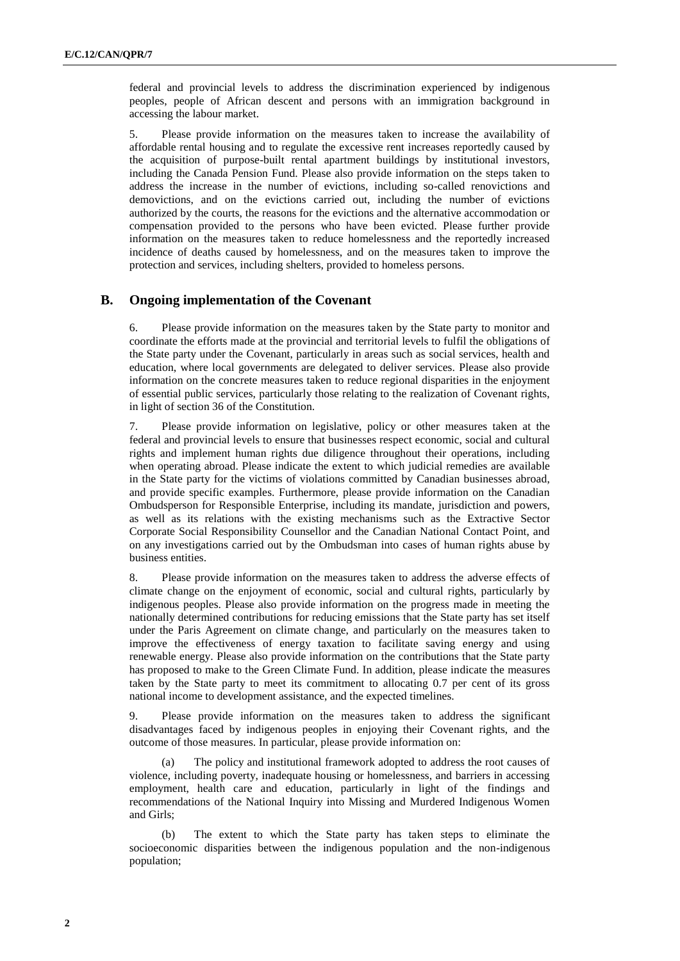federal and provincial levels to address the discrimination experienced by indigenous peoples, people of African descent and persons with an immigration background in accessing the labour market.

5. Please provide information on the measures taken to increase the availability of affordable rental housing and to regulate the excessive rent increases reportedly caused by the acquisition of purpose-built rental apartment buildings by institutional investors, including the Canada Pension Fund. Please also provide information on the steps taken to address the increase in the number of evictions, including so-called renovictions and demovictions, and on the evictions carried out, including the number of evictions authorized by the courts, the reasons for the evictions and the alternative accommodation or compensation provided to the persons who have been evicted. Please further provide information on the measures taken to reduce homelessness and the reportedly increased incidence of deaths caused by homelessness, and on the measures taken to improve the protection and services, including shelters, provided to homeless persons.

#### **B. Ongoing implementation of the Covenant**

6. Please provide information on the measures taken by the State party to monitor and coordinate the efforts made at the provincial and territorial levels to fulfil the obligations of the State party under the Covenant, particularly in areas such as social services, health and education, where local governments are delegated to deliver services. Please also provide information on the concrete measures taken to reduce regional disparities in the enjoyment of essential public services, particularly those relating to the realization of Covenant rights, in light of section 36 of the Constitution.

7. Please provide information on legislative, policy or other measures taken at the federal and provincial levels to ensure that businesses respect economic, social and cultural rights and implement human rights due diligence throughout their operations, including when operating abroad. Please indicate the extent to which judicial remedies are available in the State party for the victims of violations committed by Canadian businesses abroad, and provide specific examples. Furthermore, please provide information on the Canadian Ombudsperson for Responsible Enterprise, including its mandate, jurisdiction and powers, as well as its relations with the existing mechanisms such as the Extractive Sector Corporate Social Responsibility Counsellor and the Canadian National Contact Point, and on any investigations carried out by the Ombudsman into cases of human rights abuse by business entities.

8. Please provide information on the measures taken to address the adverse effects of climate change on the enjoyment of economic, social and cultural rights, particularly by indigenous peoples. Please also provide information on the progress made in meeting the nationally determined contributions for reducing emissions that the State party has set itself under the Paris Agreement on climate change, and particularly on the measures taken to improve the effectiveness of energy taxation to facilitate saving energy and using renewable energy. Please also provide information on the contributions that the State party has proposed to make to the Green Climate Fund. In addition, please indicate the measures taken by the State party to meet its commitment to allocating 0.7 per cent of its gross national income to development assistance, and the expected timelines.

9. Please provide information on the measures taken to address the significant disadvantages faced by indigenous peoples in enjoying their Covenant rights, and the outcome of those measures. In particular, please provide information on:

(a) The policy and institutional framework adopted to address the root causes of violence, including poverty, inadequate housing or homelessness, and barriers in accessing employment, health care and education, particularly in light of the findings and recommendations of the National Inquiry into Missing and Murdered Indigenous Women and Girls;

(b) The extent to which the State party has taken steps to eliminate the socioeconomic disparities between the indigenous population and the non-indigenous population;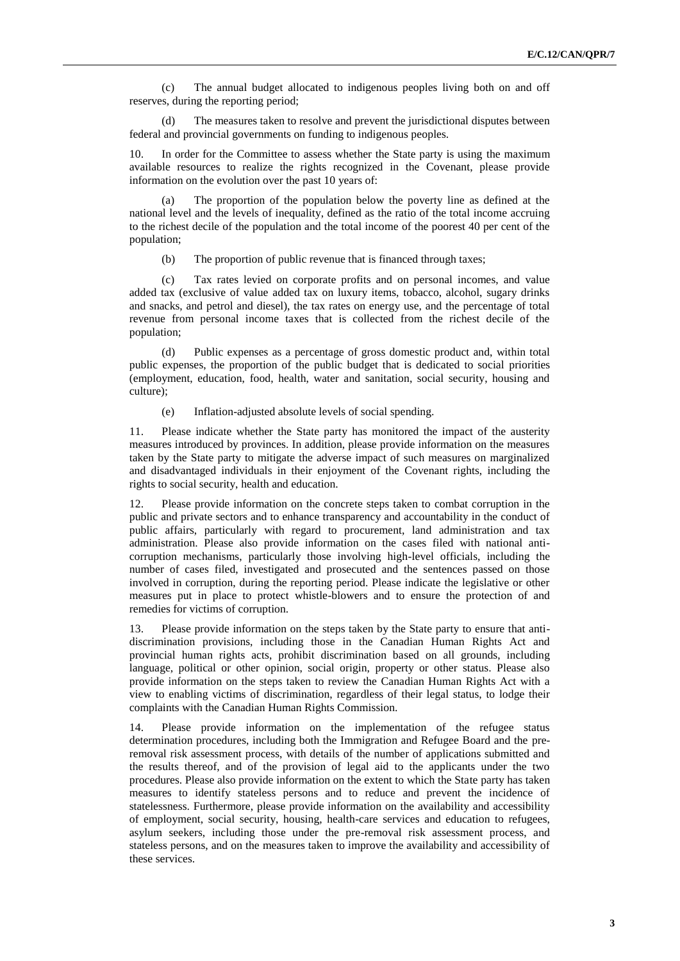(c) The annual budget allocated to indigenous peoples living both on and off reserves, during the reporting period;

The measures taken to resolve and prevent the jurisdictional disputes between federal and provincial governments on funding to indigenous peoples.

10. In order for the Committee to assess whether the State party is using the maximum available resources to realize the rights recognized in the Covenant, please provide information on the evolution over the past 10 years of:

(a) The proportion of the population below the poverty line as defined at the national level and the levels of inequality, defined as the ratio of the total income accruing to the richest decile of the population and the total income of the poorest 40 per cent of the population;

(b) The proportion of public revenue that is financed through taxes;

(c) Tax rates levied on corporate profits and on personal incomes, and value added tax (exclusive of value added tax on luxury items, tobacco, alcohol, sugary drinks and snacks, and petrol and diesel), the tax rates on energy use, and the percentage of total revenue from personal income taxes that is collected from the richest decile of the population;

(d) Public expenses as a percentage of gross domestic product and, within total public expenses, the proportion of the public budget that is dedicated to social priorities (employment, education, food, health, water and sanitation, social security, housing and culture);

(e) Inflation-adjusted absolute levels of social spending.

11. Please indicate whether the State party has monitored the impact of the austerity measures introduced by provinces. In addition, please provide information on the measures taken by the State party to mitigate the adverse impact of such measures on marginalized and disadvantaged individuals in their enjoyment of the Covenant rights, including the rights to social security, health and education.

12. Please provide information on the concrete steps taken to combat corruption in the public and private sectors and to enhance transparency and accountability in the conduct of public affairs, particularly with regard to procurement, land administration and tax administration. Please also provide information on the cases filed with national anticorruption mechanisms, particularly those involving high-level officials, including the number of cases filed, investigated and prosecuted and the sentences passed on those involved in corruption, during the reporting period. Please indicate the legislative or other measures put in place to protect whistle-blowers and to ensure the protection of and remedies for victims of corruption.

13. Please provide information on the steps taken by the State party to ensure that antidiscrimination provisions, including those in the Canadian Human Rights Act and provincial human rights acts, prohibit discrimination based on all grounds, including language, political or other opinion, social origin, property or other status. Please also provide information on the steps taken to review the Canadian Human Rights Act with a view to enabling victims of discrimination, regardless of their legal status, to lodge their complaints with the Canadian Human Rights Commission.

14. Please provide information on the implementation of the refugee status determination procedures, including both the Immigration and Refugee Board and the preremoval risk assessment process, with details of the number of applications submitted and the results thereof, and of the provision of legal aid to the applicants under the two procedures. Please also provide information on the extent to which the State party has taken measures to identify stateless persons and to reduce and prevent the incidence of statelessness. Furthermore, please provide information on the availability and accessibility of employment, social security, housing, health-care services and education to refugees, asylum seekers, including those under the pre-removal risk assessment process, and stateless persons, and on the measures taken to improve the availability and accessibility of these services.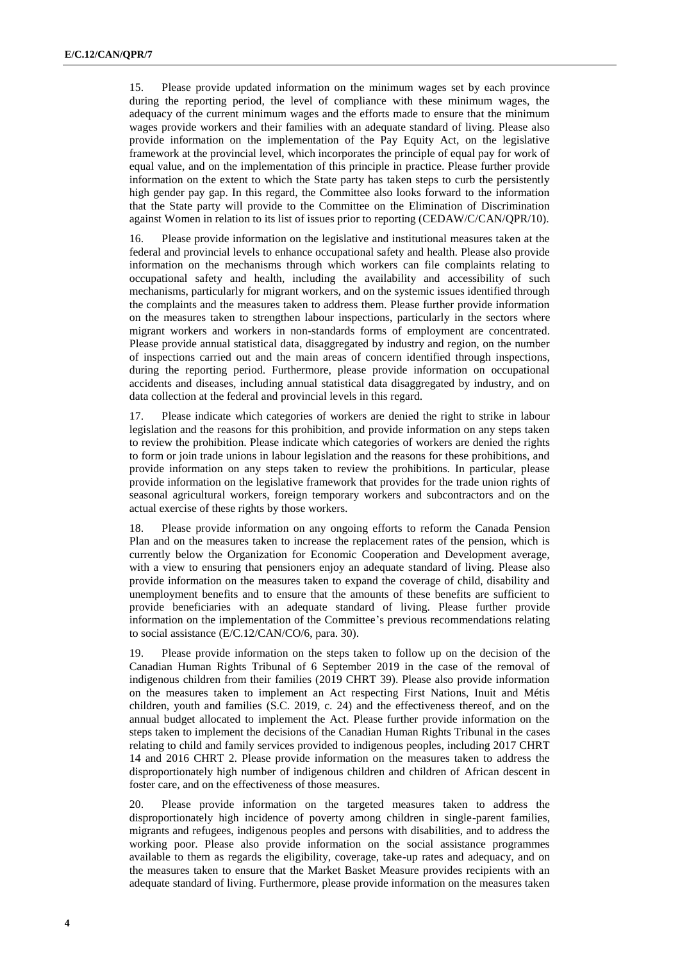15. Please provide updated information on the minimum wages set by each province during the reporting period, the level of compliance with these minimum wages, the adequacy of the current minimum wages and the efforts made to ensure that the minimum wages provide workers and their families with an adequate standard of living. Please also provide information on the implementation of the Pay Equity Act, on the legislative framework at the provincial level, which incorporates the principle of equal pay for work of equal value, and on the implementation of this principle in practice. Please further provide information on the extent to which the State party has taken steps to curb the persistently high gender pay gap. In this regard, the Committee also looks forward to the information that the State party will provide to the Committee on the Elimination of Discrimination against Women in relation to its list of issues prior to reporting (CEDAW/C/CAN/QPR/10).

16. Please provide information on the legislative and institutional measures taken at the federal and provincial levels to enhance occupational safety and health. Please also provide information on the mechanisms through which workers can file complaints relating to occupational safety and health, including the availability and accessibility of such mechanisms, particularly for migrant workers, and on the systemic issues identified through the complaints and the measures taken to address them. Please further provide information on the measures taken to strengthen labour inspections, particularly in the sectors where migrant workers and workers in non-standards forms of employment are concentrated. Please provide annual statistical data, disaggregated by industry and region, on the number of inspections carried out and the main areas of concern identified through inspections, during the reporting period. Furthermore, please provide information on occupational accidents and diseases, including annual statistical data disaggregated by industry, and on data collection at the federal and provincial levels in this regard.

17. Please indicate which categories of workers are denied the right to strike in labour legislation and the reasons for this prohibition, and provide information on any steps taken to review the prohibition. Please indicate which categories of workers are denied the rights to form or join trade unions in labour legislation and the reasons for these prohibitions, and provide information on any steps taken to review the prohibitions. In particular, please provide information on the legislative framework that provides for the trade union rights of seasonal agricultural workers, foreign temporary workers and subcontractors and on the actual exercise of these rights by those workers.

18. Please provide information on any ongoing efforts to reform the Canada Pension Plan and on the measures taken to increase the replacement rates of the pension, which is currently below the Organization for Economic Cooperation and Development average, with a view to ensuring that pensioners enjoy an adequate standard of living. Please also provide information on the measures taken to expand the coverage of child, disability and unemployment benefits and to ensure that the amounts of these benefits are sufficient to provide beneficiaries with an adequate standard of living. Please further provide information on the implementation of the Committee's previous recommendations relating to social assistance (E/C.12/CAN/CO/6, para. 30).

19. Please provide information on the steps taken to follow up on the decision of the Canadian Human Rights Tribunal of 6 September 2019 in the case of the removal of indigenous children from their families (2019 CHRT 39). Please also provide information on the measures taken to implement an Act respecting First Nations, Inuit and Métis children, youth and families (S.C. 2019, c. 24) and the effectiveness thereof, and on the annual budget allocated to implement the Act. Please further provide information on the steps taken to implement the decisions of the Canadian Human Rights Tribunal in the cases relating to child and family services provided to indigenous peoples, including 2017 CHRT 14 and 2016 CHRT 2. Please provide information on the measures taken to address the disproportionately high number of indigenous children and children of African descent in foster care, and on the effectiveness of those measures.

20. Please provide information on the targeted measures taken to address the disproportionately high incidence of poverty among children in single-parent families, migrants and refugees, indigenous peoples and persons with disabilities, and to address the working poor. Please also provide information on the social assistance programmes available to them as regards the eligibility, coverage, take-up rates and adequacy, and on the measures taken to ensure that the Market Basket Measure provides recipients with an adequate standard of living. Furthermore, please provide information on the measures taken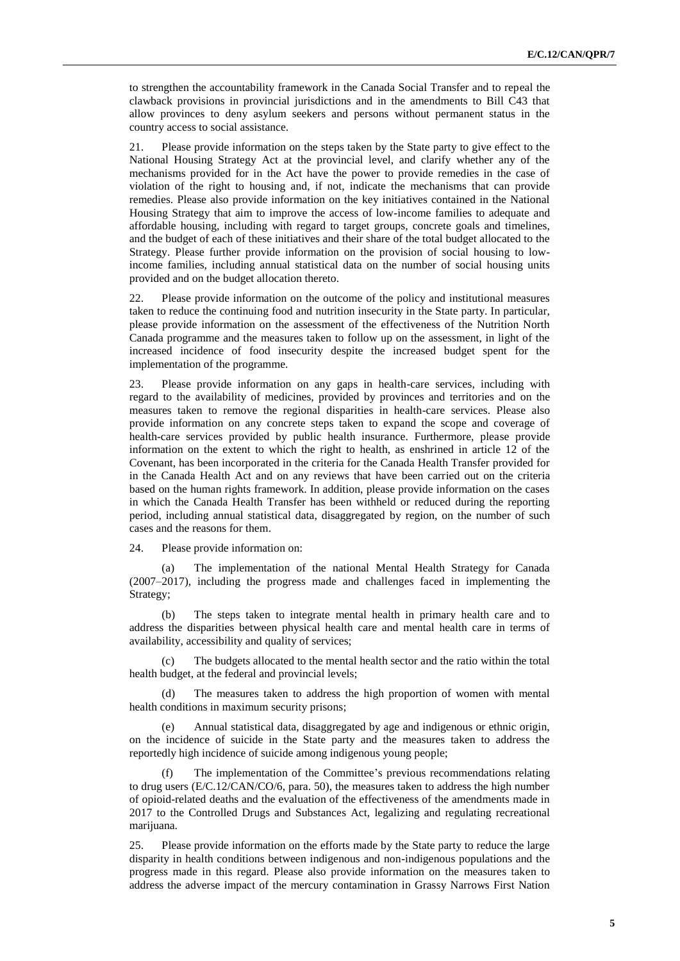to strengthen the accountability framework in the Canada Social Transfer and to repeal the clawback provisions in provincial jurisdictions and in the amendments to Bill C43 that allow provinces to deny asylum seekers and persons without permanent status in the country access to social assistance.

21. Please provide information on the steps taken by the State party to give effect to the National Housing Strategy Act at the provincial level, and clarify whether any of the mechanisms provided for in the Act have the power to provide remedies in the case of violation of the right to housing and, if not, indicate the mechanisms that can provide remedies. Please also provide information on the key initiatives contained in the National Housing Strategy that aim to improve the access of low-income families to adequate and affordable housing, including with regard to target groups, concrete goals and timelines, and the budget of each of these initiatives and their share of the total budget allocated to the Strategy. Please further provide information on the provision of social housing to lowincome families, including annual statistical data on the number of social housing units provided and on the budget allocation thereto.

22. Please provide information on the outcome of the policy and institutional measures taken to reduce the continuing food and nutrition insecurity in the State party. In particular, please provide information on the assessment of the effectiveness of the Nutrition North Canada programme and the measures taken to follow up on the assessment, in light of the increased incidence of food insecurity despite the increased budget spent for the implementation of the programme.

23. Please provide information on any gaps in health-care services, including with regard to the availability of medicines, provided by provinces and territories and on the measures taken to remove the regional disparities in health-care services. Please also provide information on any concrete steps taken to expand the scope and coverage of health-care services provided by public health insurance. Furthermore, please provide information on the extent to which the right to health, as enshrined in article 12 of the Covenant, has been incorporated in the criteria for the Canada Health Transfer provided for in the Canada Health Act and on any reviews that have been carried out on the criteria based on the human rights framework. In addition, please provide information on the cases in which the Canada Health Transfer has been withheld or reduced during the reporting period, including annual statistical data, disaggregated by region, on the number of such cases and the reasons for them.

24. Please provide information on:

(a) The implementation of the national Mental Health Strategy for Canada (2007–2017), including the progress made and challenges faced in implementing the Strategy;

(b) The steps taken to integrate mental health in primary health care and to address the disparities between physical health care and mental health care in terms of availability, accessibility and quality of services;

(c) The budgets allocated to the mental health sector and the ratio within the total health budget, at the federal and provincial levels;

(d) The measures taken to address the high proportion of women with mental health conditions in maximum security prisons;

Annual statistical data, disaggregated by age and indigenous or ethnic origin, on the incidence of suicide in the State party and the measures taken to address the reportedly high incidence of suicide among indigenous young people;

(f) The implementation of the Committee's previous recommendations relating to drug users (E/C.12/CAN/CO/6, para. 50), the measures taken to address the high number of opioid-related deaths and the evaluation of the effectiveness of the amendments made in 2017 to the Controlled Drugs and Substances Act, legalizing and regulating recreational marijuana.

25. Please provide information on the efforts made by the State party to reduce the large disparity in health conditions between indigenous and non-indigenous populations and the progress made in this regard. Please also provide information on the measures taken to address the adverse impact of the mercury contamination in Grassy Narrows First Nation

**5**